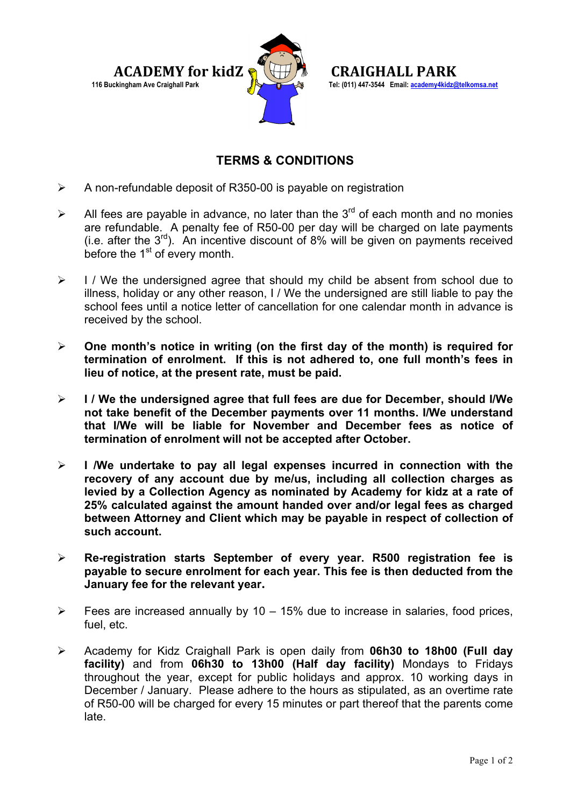

**116 Buckingham Ave Craighall Park Tel: (011) 447-3544 Email: academy4kidz@telkomsa.net**

## **TERMS & CONDITIONS**

- $\triangleright$  A non-refundable deposit of R350-00 is payable on registration
- All fees are payable in advance, no later than the  $3^{rd}$  of each month and no monies are refundable. A penalty fee of R50-00 per day will be charged on late payments (i.e. after the  $3<sup>rd</sup>$ ). An incentive discount of 8% will be given on payments received before the  $1<sup>st</sup>$  of every month.
- $\triangleright$  I / We the undersigned agree that should my child be absent from school due to illness, holiday or any other reason, I / We the undersigned are still liable to pay the school fees until a notice letter of cancellation for one calendar month in advance is received by the school.
- **One month's notice in writing (on the first day of the month) is required for termination of enrolment. If this is not adhered to, one full month's fees in lieu of notice, at the present rate, must be paid.**
- **I / We the undersigned agree that full fees are due for December, should I/We not take benefit of the December payments over 11 months. I/We understand that I/We will be liable for November and December fees as notice of termination of enrolment will not be accepted after October.**
- **I /We undertake to pay all legal expenses incurred in connection with the recovery of any account due by me/us, including all collection charges as levied by a Collection Agency as nominated by Academy for kidz at a rate of 25% calculated against the amount handed over and/or legal fees as charged between Attorney and Client which may be payable in respect of collection of such account.**
- **Re-registration starts September of every year. R500 registration fee is payable to secure enrolment for each year. This fee is then deducted from the January fee for the relevant year.**
- $\triangleright$  Fees are increased annually by 10 15% due to increase in salaries, food prices, fuel, etc.
- Academy for Kidz Craighall Park is open daily from **06h30 to 18h00 (Full day facility)** and from **06h30 to 13h00 (Half day facility)** Mondays to Fridays throughout the year, except for public holidays and approx. 10 working days in December / January. Please adhere to the hours as stipulated, as an overtime rate of R50-00 will be charged for every 15 minutes or part thereof that the parents come late.